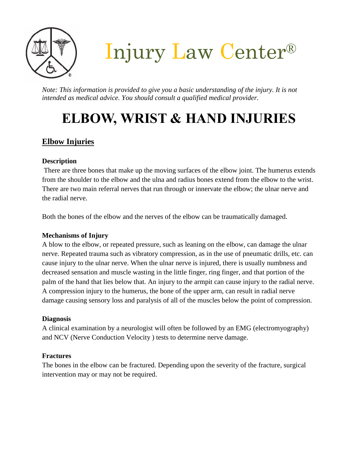

Injury Law Center®

*Note: This information is provided to give you a basic understanding of the injury. It is not intended as medical advice. You should consult a qualified medical provider.*

# **ELBOW, WRIST & HAND INJURIES**

# **Elbow Injuries**

#### **Description**

There are three bones that make up the moving surfaces of the elbow joint. The humerus extends from the shoulder to the elbow and the ulna and radius bones extend from the elbow to the wrist. There are two main referral nerves that run through or innervate the elbow; the ulnar nerve and the radial nerve.

Both the bones of the elbow and the nerves of the elbow can be traumatically damaged.

#### **Mechanisms of Injury**

A blow to the elbow, or repeated pressure, such as leaning on the elbow, can damage the ulnar nerve. Repeated trauma such as vibratory compression, as in the use of pneumatic drills, etc. can cause injury to the ulnar nerve. When the ulnar nerve is injured, there is usually numbness and decreased sensation and muscle wasting in the little finger, ring finger, and that portion of the palm of the hand that lies below that. An injury to the armpit can cause injury to the radial nerve. A compression injury to the humerus, the bone of the upper arm, can result in radial nerve damage causing sensory loss and paralysis of all of the muscles below the point of compression.

#### **Diagnosis**

A clinical examination by a neurologist will often be followed by an EMG (electromyography) and NCV (Nerve Conduction Velocity ) tests to determine nerve damage.

## **Fractures**

The bones in the elbow can be fractured. Depending upon the severity of the fracture, surgical intervention may or may not be required.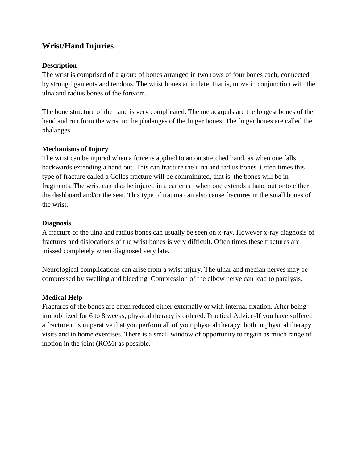# **Wrist/Hand Injuries**

#### **Description**

The wrist is comprised of a group of bones arranged in two rows of four bones each, connected by strong ligaments and tendons. The wrist bones articulate, that is, move in conjunction with the ulna and radius bones of the forearm.

The bone structure of the hand is very complicated. The metacarpals are the longest bones of the hand and run from the wrist to the phalanges of the finger bones. The finger bones are called the phalanges.

#### **Mechanisms of Injury**

The wrist can be injured when a force is applied to an outstretched hand, as when one falls backwards extending a hand out. This can fracture the ulna and radius bones. Often times this type of fracture called a Colles fracture will be comminuted, that is, the bones will be in fragments. The wrist can also be injured in a car crash when one extends a hand out onto either the dashboard and/or the seat. This type of trauma can also cause fractures in the small bones of the wrist.

#### **Diagnosis**

A fracture of the ulna and radius bones can usually be seen on x-ray. However x-ray diagnosis of fractures and dislocations of the wrist bones is very difficult. Often times these fractures are missed completely when diagnosed very late.

Neurological complications can arise from a wrist injury. The ulnar and median nerves may be compressed by swelling and bleeding. Compression of the elbow nerve can lead to paralysis.

#### **Medical Help**

Fractures of the bones are often reduced either externally or with internal fixation. After being immobilized for 6 to 8 weeks, physical therapy is ordered. Practical Advice-If you have suffered a fracture it is imperative that you perform all of your physical therapy, both in physical therapy visits and in home exercises. There is a small window of opportunity to regain as much range of motion in the joint (ROM) as possible.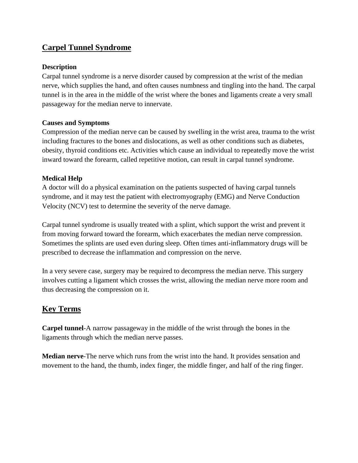## **Carpel Tunnel Syndrome**

#### **Description**

Carpal tunnel syndrome is a nerve disorder caused by compression at the wrist of the median nerve, which supplies the hand, and often causes numbness and tingling into the hand. The carpal tunnel is in the area in the middle of the wrist where the bones and ligaments create a very small passageway for the median nerve to innervate.

### **Causes and Symptoms**

Compression of the median nerve can be caused by swelling in the wrist area, trauma to the wrist including fractures to the bones and dislocations, as well as other conditions such as diabetes, obesity, thyroid conditions etc. Activities which cause an individual to repeatedly move the wrist inward toward the forearm, called repetitive motion, can result in carpal tunnel syndrome.

### **Medical Help**

A doctor will do a physical examination on the patients suspected of having carpal tunnels syndrome, and it may test the patient with electromyography (EMG) and Nerve Conduction Velocity (NCV) test to determine the severity of the nerve damage.

Carpal tunnel syndrome is usually treated with a splint, which support the wrist and prevent it from moving forward toward the forearm, which exacerbates the median nerve compression. Sometimes the splints are used even during sleep. Often times anti-inflammatory drugs will be prescribed to decrease the inflammation and compression on the nerve.

In a very severe case, surgery may be required to decompress the median nerve. This surgery involves cutting a ligament which crosses the wrist, allowing the median nerve more room and thus decreasing the compression on it.

## **Key Terms**

**Carpel tunnel**-A narrow passageway in the middle of the wrist through the bones in the ligaments through which the median nerve passes.

**Median nerve**-The nerve which runs from the wrist into the hand. It provides sensation and movement to the hand, the thumb, index finger, the middle finger, and half of the ring finger.